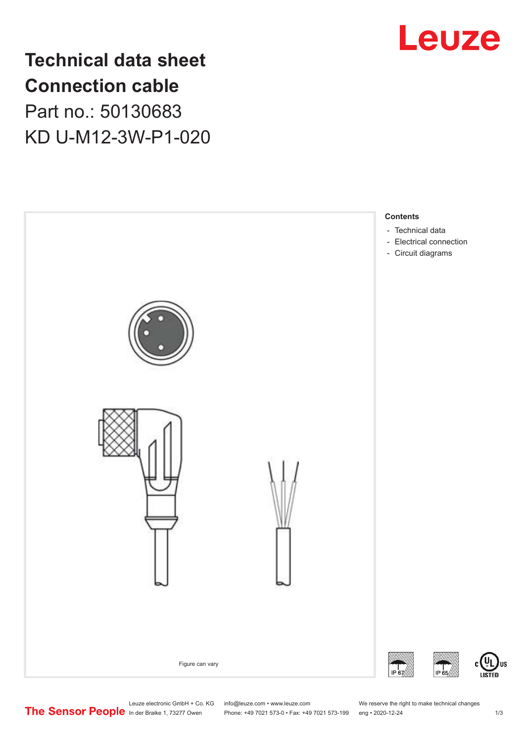

**Technical data sheet Connection cable** Part no.: 50130683 KD U-M12-3W-P1-020



Leuze electronic GmbH + Co. KG info@leuze.com • www.leuze.com We reserve the right to make technical changes<br>
The Sensor People in der Braike 1, 73277 Owen Phone: +49 7021 573-0 • Fax: +49 7021 573-199 eng • 2020-12-24

Phone: +49 7021 573-0 • Fax: +49 7021 573-199 eng • 2020-12-24 1 2020-12-24

US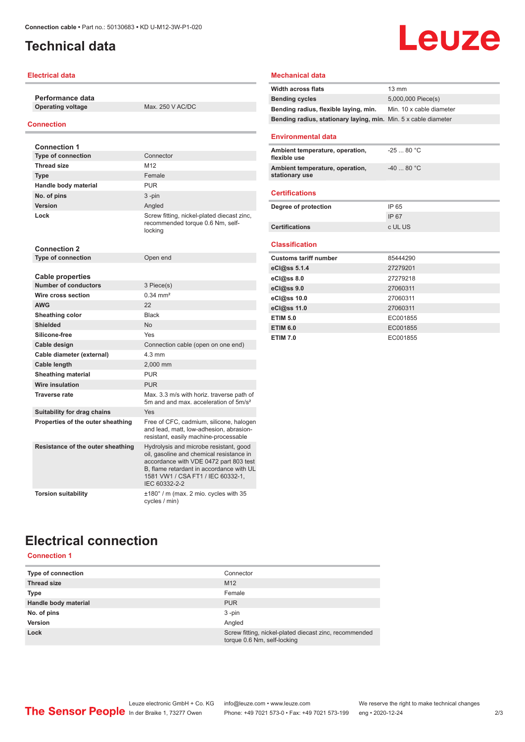# <span id="page-1-0"></span>**Technical data**

## **Electrical data**

**Performance data**

**Operating voltage** Max. 250 V AC/DC

## **Connection**

| <b>Connection 1</b>                                    |                                                                                                                                                                                                                                |
|--------------------------------------------------------|--------------------------------------------------------------------------------------------------------------------------------------------------------------------------------------------------------------------------------|
| <b>Type of connection</b>                              | Connector                                                                                                                                                                                                                      |
| <b>Thread size</b>                                     | M <sub>12</sub>                                                                                                                                                                                                                |
| <b>Type</b>                                            | Female                                                                                                                                                                                                                         |
| Handle body material                                   | <b>PUR</b>                                                                                                                                                                                                                     |
| No. of pins                                            | $3 - pin$                                                                                                                                                                                                                      |
| <b>Version</b>                                         | Angled                                                                                                                                                                                                                         |
| Lock                                                   | Screw fitting, nickel-plated diecast zinc,<br>recommended torque 0.6 Nm, self-<br>locking                                                                                                                                      |
| <b>Connection 2</b>                                    |                                                                                                                                                                                                                                |
| <b>Type of connection</b>                              | Open end                                                                                                                                                                                                                       |
|                                                        |                                                                                                                                                                                                                                |
| <b>Cable properties</b><br><b>Number of conductors</b> | 3 Piece(s)                                                                                                                                                                                                                     |
| Wire cross section                                     | $0.34 \, \text{mm}^2$                                                                                                                                                                                                          |
| <b>AWG</b>                                             | 22                                                                                                                                                                                                                             |
| Sheathing color                                        | <b>Black</b>                                                                                                                                                                                                                   |
| <b>Shielded</b>                                        | N <sub>0</sub>                                                                                                                                                                                                                 |
| Silicone-free                                          | Yes                                                                                                                                                                                                                            |
| Cable design                                           | Connection cable (open on one end)                                                                                                                                                                                             |
| Cable diameter (external)                              | $4.3 \text{ mm}$                                                                                                                                                                                                               |
| Cable length                                           | 2,000 mm                                                                                                                                                                                                                       |
| <b>Sheathing material</b>                              | <b>PUR</b>                                                                                                                                                                                                                     |
| <b>Wire insulation</b>                                 | <b>PUR</b>                                                                                                                                                                                                                     |
| <b>Traverse rate</b>                                   | Max, 3.3 m/s with horiz, traverse path of                                                                                                                                                                                      |
|                                                        | 5m and and max, acceleration of 5m/s <sup>2</sup>                                                                                                                                                                              |
| Suitability for drag chains                            | Yes                                                                                                                                                                                                                            |
| Properties of the outer sheathing                      | Free of CFC, cadmium, silicone, halogen<br>and lead, matt, low-adhesion, abrasion-<br>resistant, easily machine-processable                                                                                                    |
| Resistance of the outer sheathing                      | Hydrolysis and microbe resistant, good<br>oil, gasoline and chemical resistance in<br>accordance with VDE 0472 part 803 test<br>B, flame retardant in accordance with UL<br>1581 VW1 / CSA FT1 / IEC 60332-1.<br>IEC 60332-2-2 |
| <b>Torsion suitability</b>                             | $\pm 180^\circ$ / m (max. 2 mio. cycles with 35<br>cycles / min)                                                                                                                                                               |

#### **Mechanical data**

| <b>Width across flats</b>                                       | 13 mm                    |
|-----------------------------------------------------------------|--------------------------|
| <b>Bending cycles</b>                                           | 5,000,000 Piece(s)       |
| Bending radius, flexible laying, min.                           | Min. 10 x cable diameter |
| Bending radius, stationary laying, min. Min. 5 x cable diameter |                          |
|                                                                 |                          |
| <b>Environmental data</b>                                       |                          |
| Ambient temperature, operation,<br>flexible use                 | $-2580 °C$               |
| Ambient temperature, operation,<br>stationary use               | $-4080 °C$               |
| <b>Certifications</b>                                           |                          |
| Degree of protection                                            | IP 65                    |
|                                                                 | IP 67                    |
| Certifications                                                  | c UL US                  |
| <b>Classification</b>                                           |                          |
|                                                                 |                          |
| <b>Customs tariff number</b>                                    | 85444290<br>27279201     |
| eCl@ss 5.1.4                                                    | 27279218                 |
| eCl@ss 8.0                                                      |                          |
| eCl@ss 9.0                                                      | 27060311                 |
| eCl@ss 10.0                                                     | 27060311                 |
| eCl@ss 11.0                                                     | 27060311                 |
| <b>ETIM 5.0</b>                                                 | EC001855                 |
| <b>ETIM 6.0</b>                                                 | EC001855                 |
| <b>ETIM 7.0</b>                                                 | EC001855                 |

**Leuze** 

## **Electrical connection Connection 1**

|  | uunnecuun |  |
|--|-----------|--|
|  |           |  |
|  |           |  |

| <b>Type of connection</b> | Connector                                                                             |
|---------------------------|---------------------------------------------------------------------------------------|
| <b>Thread size</b>        | M <sub>12</sub>                                                                       |
| <b>Type</b>               | Female                                                                                |
| Handle body material      | <b>PUR</b>                                                                            |
| No. of pins               | $3 - pin$                                                                             |
| <b>Version</b>            | Angled                                                                                |
| Lock                      | Screw fitting, nickel-plated diecast zinc, recommended<br>torque 0.6 Nm, self-locking |